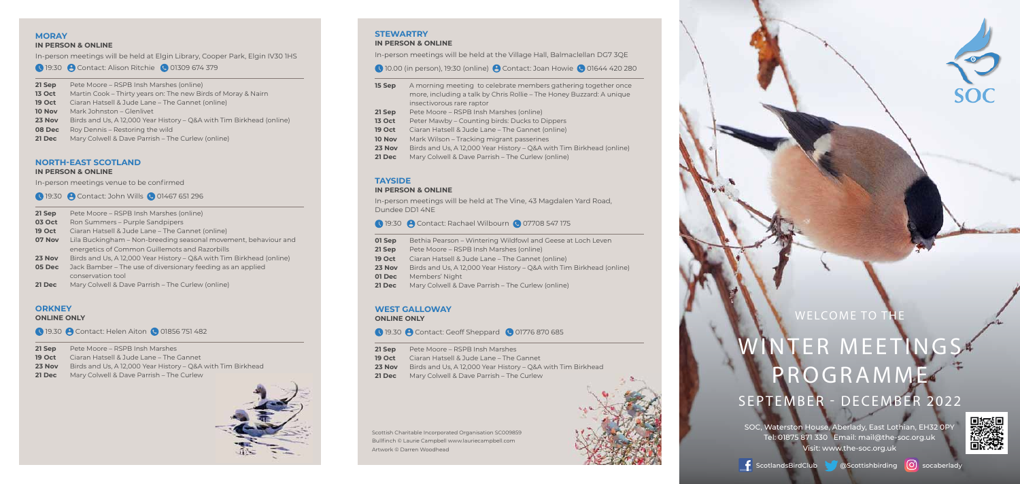## INTER MEETIN **PROGRAMME** SEPTEMBER - DECEMBER 2022

SOC, Waterston House, Aberlady, East Lothian, EH32 0PY Tel: 01875 871 330 Email: mail@the-soc.org.uk Visit: www.the-soc.org.uk





[O] socaberlady

Scottish Charitable Incorporated Organisation SC009859 Bullfinch © Laurie Campbell www.lauriecampbell.com Artwork © Darren Woodhead





## WELCOME TO TH

#### **STEWARTRY IN PERSON & ONLINE**

- **19 Oct** Ciaran Hatsell & Jude Lane The Gannet (online)
- **10 Nov** Mark Wilson Tracking migrant passerines
- **23 Nov** Birds and Us, A 12,000 Year History Q&A with Tim Birkhead (online)
- **21 Dec** Mary Colwell & Dave Parrish The Curlew (online)

In-person meetings will be held at the Village Hall, Balmaclellan DG7 3QE

10.00 (in person), 19:30 (online) **(A** Contact: Joan Howie **C** 01644 420 280

| 15 Sep             | A morning meeting to celebrate members gathering together once       |
|--------------------|----------------------------------------------------------------------|
|                    | more, including a talk by Chris Rollie – The Honey Buzzard: A unique |
|                    | insectivorous rare raptor                                            |
| 21 Sep             | Pete Moore – RSPB Insh Marshes (online)                              |
| <b>13 Oct</b>      | Peter Mawby – Counting birds: Ducks to Dippers                       |
| 19.0 <sub>ct</sub> | Ciaran Hatcoll & Jude Lane - The Cannet (online)                     |

- **01 Sep** Bethia Pearson Wintering Wildfowl and Geese at Loch Leven
- **21 Sep** Pete Moore RSPB Insh Marshes (online)
- **19 Oct** Ciaran Hatsell & Jude Lane The Gannet (online)
- **23 Nov** Birds and Us, A 12,000 Year History Q&A with Tim Birkhead (online)
- **01 Dec** Members' Night
- **21 Dec** Mary Colwell & Dave Parrish The Curlew (online)

#### **TAYSIDE**

#### **IN PERSON & ONLINE**

In-person meetings will be held at The Vine, 43 Magdalen Yard Road, Dundee DD1 4NE

#### 19:30 **@** Contact: Rachael Wilbourn **@** 07708 547 175

- **05 Dec** Jack Bamber The use of diversionary feeding as an applied conservation tool
- **21 Dec** Mary Colwell & Dave Parrish The Curlew (online)

#### **WEST GALLOWAY**

**ONLINE ONLY**

#### **19.30 @ Contact: Geoff Sheppard @ 01776 870 685**

- **21 Sep** Pete Moore RSPB Insh Marshes **19 Oct** Ciaran Hatsell & Jude Lane – The Gannet
- **23 Nov** Birds and Us, A 12,000 Year History Q&A with Tim Birkhead
- **21 Dec** Mary Colwell & Dave Parrish The Curlew

#### **MORAY**

#### **IN PERSON & ONLINE**

In-person meetings will be held at Elgin Library, Cooper Park, Elgin IV30 1HS

**19:30 Contact: Alison Ritchie C 01309 674 379** 

**21 Sep** Pete Moore – RSPB Insh Marshes (online) **13 Oct** Martin Cook – Thirty years on: The new Birds of Moray & Nairn **19 Oct** Ciaran Hatsell & Jude Lane – The Gannet (online) **10 Nov** Mark Johnston – Glenlivet **23 Nov** Birds and Us, A 12,000 Year History – Q&A with Tim Birkhead (online) **08 Dec** Roy Dennis – Restoring the wild **21 Dec** Mary Colwell & Dave Parrish – The Curlew (online)

#### **NORTH-EAST SCOTLAND**

#### **IN PERSON & ONLINE**

In-person meetings venue to be confirmed

19:30 **A** Contact: John Wills **C** 01467 651 296

| 21 Sep        | Pete Moore – RSPB Insh Marshes (online)                              |
|---------------|----------------------------------------------------------------------|
| <b>03 Oct</b> | Ron Summers – Purple Sandpipers                                      |
| <b>19 Oct</b> | Ciaran Hatsell & Jude Lane – The Gannet (online)                     |
| 07 Nov        | Lila Buckingham – Non-breeding seasonal movement, behaviour and      |
|               | energetics of Common Guillemots and Razorbills                       |
| 23 Nov        | Birds and Us, A 12,000 Year History – Q&A with Tim Birkhead (online) |
| 05 Dec        | Jack Bamber – The use of diversionary feeding as an applied          |

#### **ORKNEY**

#### **ONLINE ONLY**

**19.30 Contact: Helen Aiton C 01856 751 482** 

- **21 Sep** Pete Moore RSPB Insh Marshes
- **19 Oct** Ciaran Hatsell & Jude Lane The Gannet
- **23 Nov** Birds and Us, A 12,000 Year History Q&A with Tim Birkhead
- **21 Dec** Mary Colwell & Dave Parrish The Curlew